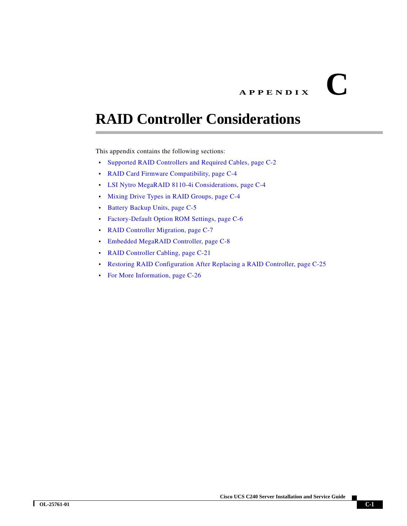# **APPENDIX C**

# **RAID Controller Considerations**

This appendix contains the following sections:

- **•** [Supported RAID Controllers and Required Cables, page C-2](#page-1-0)
- **•** [RAID Card Firmware Compatibility, page C-4](#page-3-2)
- **•** [LSI Nytro MegaRAID 8110-4i Considerations, page C-4](#page-3-0)
- **•** [Mixing Drive Types in RAID Groups, page C-4](#page-3-1)
- **•** [Battery Backup Units, page C-5](#page-4-0)
- **•** [Factory-Default Option ROM Settings, page C-6](#page-5-0)
- **•** [RAID Controller Migration, page C-7](#page-6-0)
- **•** [Embedded MegaRAID Controller, page C-8](#page-7-0)
- **•** [RAID Controller Cabling, page C-21](#page-20-0)
- **•** [Restoring RAID Configuration After Replacing a RAID Controller, page C-25](#page-24-0)
- **•** [For More Information, page C-26](#page-25-0)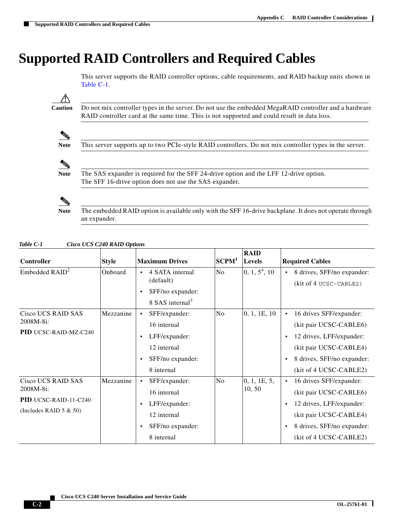# <span id="page-1-0"></span>**Supported RAID Controllers and Required Cables**

This server supports the RAID controller options, cable requirements, and RAID backup units shown in Table C-1.

Λ

**Caution** Do not mix controller types in the server. Do not use the embedded MegaRAID controller and a hardware RAID controller card at the same time. This is not supported and could result in data loss.



**Note** This server supports up to two PCIe-style RAID controllers. Do not mix controller types in the server.



**Note** The SAS expander is required for the SFF 24-drive option and the LFF 12-drive option. The SFF 16-drive option does not use the SAS expander.

**Note** The embedded RAID option is available only with the SFF 16-drive backplane. It does not operate through an expander.

| Table C-1 | Cisco UCS C240 RAID Options |
|-----------|-----------------------------|
|-----------|-----------------------------|

| Controller                                                                            | <b>Style</b> | <b>Maximum Drives</b>                                                                                                    | SCPM <sup>1</sup> | <b>RAID</b><br><b>Levels</b> | <b>Required Cables</b>                                                                                                                                                                                 |
|---------------------------------------------------------------------------------------|--------------|--------------------------------------------------------------------------------------------------------------------------|-------------------|------------------------------|--------------------------------------------------------------------------------------------------------------------------------------------------------------------------------------------------------|
| Embedded $RAID2$                                                                      | Onboard      | 4 SATA internal<br>(default)<br>SFF/no expander:<br>٠<br>8 SAS internal <sup>3</sup>                                     | No                | $\vert 0, 1, 5^4, 10 \vert$  | 8 drives, SFF/no expander:<br>$\bullet$<br>(kit of 4 UCSC-CABLE2)                                                                                                                                      |
| <b>Cisco UCS RAID SAS</b><br>2008M-8i:<br><b>PID UCSC-RAID-MZ-C240</b>                | Mezzanine    | SFF/expander:<br>16 internal<br>LFF/expander:<br>$\bullet$<br>12 internal<br>SFF/no expander:<br>$\bullet$<br>8 internal | No                | 0, 1, 1E, 10                 | 16 drives SFF/expander:<br>$\bullet$<br>(kit pair UCSC-CABLE6)<br>12 drives, LFF/expander:<br>$\bullet$<br>(kit pair UCSC-CABLE4)<br>8 drives, SFF/no expander:<br>$\bullet$<br>(kit of 4 UCSC-CABLE2) |
| Cisco UCS RAID SAS<br>2008M-8i:<br>PID UCSC-RAID-11-C240<br>(Includes RAID $5 & 50$ ) | Mezzanine    | SFF/expander:<br>16 internal<br>LFF/expander:<br>$\bullet$<br>12 internal<br>SFF/no expander:<br>٠<br>8 internal         | No                | 0, 1, 1E, 5,<br>10, 50       | 16 drives SFF/expander:<br>$\bullet$<br>(kit pair UCSC-CABLE6)<br>12 drives, LFF/expander:<br>$\bullet$<br>(kit pair UCSC-CABLE4)<br>8 drives, SFF/no expander:<br>$\bullet$<br>(kit of 4 UCSC-CABLE2) |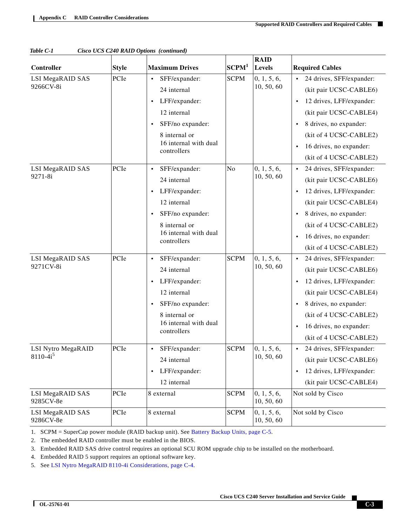|                               |              | $\cos\theta$ $\cos\theta$ $\sin\theta$ $\cos\theta$ $\cos\theta$ |                   | <b>RAID</b>               |                                       |  |  |
|-------------------------------|--------------|------------------------------------------------------------------|-------------------|---------------------------|---------------------------------------|--|--|
| Controller                    | <b>Style</b> | <b>Maximum Drives</b>                                            | SCPM <sup>1</sup> | Levels                    | <b>Required Cables</b>                |  |  |
| <b>LSI MegaRAID SAS</b>       | PCIe         | SFF/expander:<br>$\bullet$                                       | <b>SCPM</b>       | 0, 1, 5, 6,               | 24 drives, SFF/expander:<br>$\bullet$ |  |  |
| 9266CV-8i                     |              | 24 internal                                                      |                   | 10, 50, 60                | (kit pair UCSC-CABLE6)                |  |  |
|                               |              | LFF/expander:<br>$\bullet$                                       |                   |                           | 12 drives, LFF/expander:<br>$\bullet$ |  |  |
|                               |              | 12 internal                                                      |                   |                           | (kit pair UCSC-CABLE4)                |  |  |
|                               |              | SFF/no expander:<br>$\bullet$                                    |                   |                           | 8 drives, no expander:<br>$\bullet$   |  |  |
|                               |              | 8 internal or                                                    |                   |                           | (kit of 4 UCSC-CABLE2)                |  |  |
|                               |              | 16 internal with dual<br>controllers                             |                   |                           | 16 drives, no expander:<br>$\bullet$  |  |  |
|                               |              |                                                                  |                   |                           | (kit of 4 UCSC-CABLE2)                |  |  |
| LSI MegaRAID SAS              | PCIe         | SFF/expander:                                                    | No                | 0, 1, 5, 6,               | 24 drives, SFF/expander:<br>$\bullet$ |  |  |
| 9271-8i                       |              | 24 internal                                                      |                   | 10, 50, 60                | (kit pair UCSC-CABLE6)                |  |  |
|                               |              | LFF/expander:<br>$\bullet$                                       |                   |                           | 12 drives, LFF/expander:<br>$\bullet$ |  |  |
|                               |              | 12 internal                                                      |                   |                           | (kit pair UCSC-CABLE4)                |  |  |
|                               |              | SFF/no expander:<br>$\bullet$                                    |                   |                           | 8 drives, no expander:<br>$\bullet$   |  |  |
|                               |              | 8 internal or                                                    |                   |                           | (kit of 4 UCSC-CABLE2)                |  |  |
|                               |              | 16 internal with dual<br>controllers                             |                   |                           | 16 drives, no expander:<br>$\bullet$  |  |  |
|                               |              |                                                                  |                   |                           | (kit of 4 UCSC-CABLE2)                |  |  |
| LSI MegaRAID SAS<br>9271CV-8i | PCIe         | SFF/expander:<br>$\bullet$                                       | <b>SCPM</b>       | 0, 1, 5, 6,               | 24 drives, SFF/expander:<br>$\bullet$ |  |  |
|                               |              | 24 internal                                                      |                   | 10, 50, 60                | (kit pair UCSC-CABLE6)                |  |  |
|                               |              | LFF/expander:<br>$\bullet$                                       |                   |                           | 12 drives, LFF/expander:<br>$\bullet$ |  |  |
|                               |              | 12 internal                                                      |                   |                           | (kit pair UCSC-CABLE4)                |  |  |
|                               |              | SFF/no expander:<br>$\bullet$                                    |                   |                           | 8 drives, no expander:<br>$\bullet$   |  |  |
|                               |              | 8 internal or                                                    |                   |                           | (kit of 4 UCSC-CABLE2)                |  |  |
|                               |              | 16 internal with dual<br>controllers                             |                   |                           | 16 drives, no expander:<br>$\bullet$  |  |  |
|                               |              |                                                                  |                   |                           | (kit of 4 UCSC-CABLE2)                |  |  |
| LSI Nytro MegaRAID            | PCIe         | SFF/expander:                                                    | <b>SCPM</b>       | 0, 1, 5, 6,<br>10, 50, 60 | 24 drives, SFF/expander:<br>$\bullet$ |  |  |
| $8110-4i^5$                   |              | 24 internal                                                      |                   |                           | (kit pair UCSC-CABLE6)                |  |  |
|                               |              | LFF/expander:<br>$\bullet$                                       |                   |                           | 12 drives, LFF/expander:<br>$\bullet$ |  |  |
|                               |              | 12 internal                                                      |                   |                           | (kit pair UCSC-CABLE4)                |  |  |
| LSI MegaRAID SAS<br>9285CV-8e | PCIe         | 8 external                                                       | <b>SCPM</b>       | 0, 1, 5, 6,<br>10, 50, 60 | Not sold by Cisco                     |  |  |
| LSI MegaRAID SAS<br>9286CV-8e | PCIe         | 8 external                                                       | <b>SCPM</b>       | 0, 1, 5, 6,<br>10, 50, 60 | Not sold by Cisco                     |  |  |

| Table C-1 |  |  | Cisco UCS C240 RAID Options (continued) |
|-----------|--|--|-----------------------------------------|
|           |  |  |                                         |

1. SCPM = SuperCap power module (RAID backup unit). See [Battery Backup Units, page C-5](#page-4-0).

2. The embedded RAID controller must be enabled in the BIOS.

3. Embedded RAID SAS drive control requires an optional SCU ROM upgrade chip to be installed on the motherboard.

4. Embedded RAID 5 support requires an optional software key.

5. See [LSI Nytro MegaRAID 8110-4i Considerations, page C-4](#page-3-0).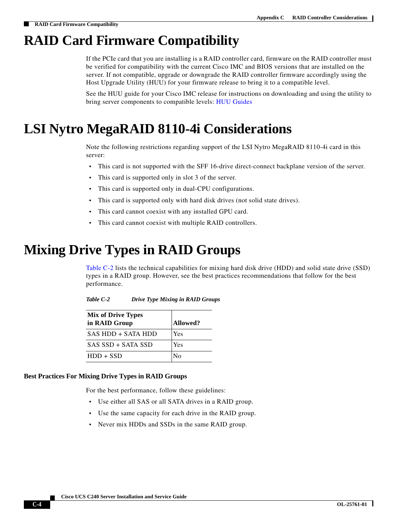# <span id="page-3-2"></span>**RAID Card Firmware Compatibility**

If the PCIe card that you are installing is a RAID controller card, firmware on the RAID controller must be verified for compatibility with the current Cisco IMC and BIOS versions that are installed on the server. If not compatible, upgrade or downgrade the RAID controller firmware accordingly using the Host Upgrade Utility (HUU) for your firmware release to bring it to a compatible level.

See the HUU guide for your Cisco IMC release for instructions on downloading and using the utility to bring server components to compatible levels: [HUU Guides](http://www.cisco.com/c/en/us/support/servers-unified-computing/ucs-c-series-rack-servers/products-user-guide-list.html)

# <span id="page-3-0"></span>**LSI Nytro MegaRAID 8110-4i Considerations**

Note the following restrictions regarding support of the LSI Nytro MegaRAID 8110-4i card in this server:

- **•** This card is not supported with the SFF 16-drive direct-connect backplane version of the server.
- This card is supported only in slot 3 of the server.
- **•** This card is supported only in dual-CPU configurations.
- **•** This card is supported only with hard disk drives (not solid state drives).
- **•** This card cannot coexist with any installed GPU card.
- **•** This card cannot coexist with multiple RAID controllers.

# <span id="page-3-3"></span><span id="page-3-1"></span>**Mixing Drive Types in RAID Groups**

[Table C-2](#page-3-3) lists the technical capabilities for mixing hard disk drive (HDD) and solid state drive (SSD) types in a RAID group. However, see the best practices recommendations that follow for the best performance.

| Table C-2 | <b>Drive Type Mixing in RAID Groups</b> |
|-----------|-----------------------------------------|
|-----------|-----------------------------------------|

| <b>Mix of Drive Types</b><br>in RAID Group | Allowed?       |
|--------------------------------------------|----------------|
| SAS HDD + SATA HDD                         | Yes            |
| SAS SSD + SATA SSD                         | Yes            |
| $HDD + SSD$                                | $\overline{N}$ |

#### **Best Practices For Mixing Drive Types in RAID Groups**

For the best performance, follow these guidelines:

- **•** Use either all SAS or all SATA drives in a RAID group.
- **•** Use the same capacity for each drive in the RAID group.
- **•** Never mix HDDs and SSDs in the same RAID group.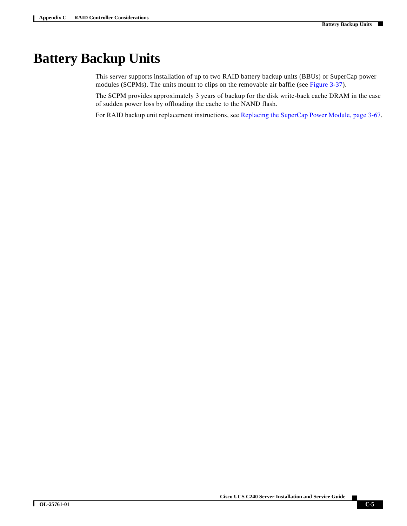## <span id="page-4-0"></span>**Battery Backup Units**

This server supports installation of up to two RAID battery backup units (BBUs) or SuperCap power modules (SCPMs). The units mount to clips on the removable air baffle (see Figure 3-37).

The SCPM provides approximately 3 years of backup for the disk write-back cache DRAM in the case of sudden power loss by offloading the cache to the NAND flash.

For RAID backup unit replacement instructions, see Replacing the SuperCap Power Module, page 3-67.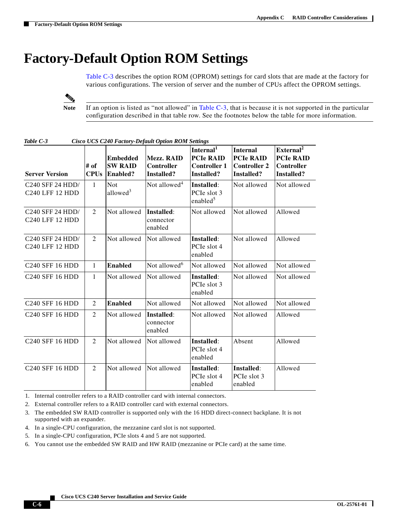# <span id="page-5-0"></span>**Factory-Default Option ROM Settings**

[Table C-3](#page-5-1) describes the option ROM (OPROM) settings for card slots that are made at the factory for various configurations. The version of server and the number of CPUs affect the OPROM settings.

⋟

**Note** If an option is listed as "not allowed" in [Table C-3](#page-5-1), that is because it is not supported in the particular configuration described in that table row. See the footnotes below the table for more information.

| <b>Server Version</b>               | # of<br><b>CPUs</b> | <b>Embedded</b><br><b>SW RAID</b><br><b>Enabled?</b> | Mezz. RAID<br>Controller<br>Installed? | Internal <sup>1</sup><br><b>PCIe RAID</b><br><b>Controller 1</b><br>Installed? | <b>Internal</b><br><b>PCIe RAID</b><br><b>Controller 2</b><br>Installed? | External <sup>2</sup><br><b>PCIe RAID</b><br>Controller<br>Installed? |
|-------------------------------------|---------------------|------------------------------------------------------|----------------------------------------|--------------------------------------------------------------------------------|--------------------------------------------------------------------------|-----------------------------------------------------------------------|
| C240 SFF 24 HDD/<br>C240 LFF 12 HDD | $\mathbf{1}$        | <b>Not</b><br>allowed <sup>3</sup>                   | Not allowed <sup>4</sup>               | Installed:<br>PCIe slot 3<br>enabled <sup>5</sup>                              | Not allowed                                                              | Not allowed                                                           |
| C240 SFF 24 HDD/<br>C240 LFF 12 HDD | $\overline{2}$      | Not allowed                                          | Installed:<br>connector<br>enabled     | Not allowed                                                                    | Not allowed                                                              | Allowed                                                               |
| C240 SFF 24 HDD/<br>C240 LFF 12 HDD | $\overline{2}$      | Not allowed                                          | Not allowed                            | Installed:<br>PCIe slot 4<br>enabled                                           | Not allowed                                                              | Allowed                                                               |
| <b>C240 SFF 16 HDD</b>              | $\mathbf{1}$        | <b>Enabled</b>                                       | Not allowed <sup>6</sup>               | Not allowed                                                                    | Not allowed                                                              | Not allowed                                                           |
| <b>C240 SFF 16 HDD</b>              | $\mathbf{1}$        | Not allowed                                          | Not allowed                            | Installed:<br>PCIe slot 3<br>enabled                                           | Not allowed                                                              | Not allowed                                                           |
| C240 SFF 16 HDD                     | $\overline{2}$      | <b>Enabled</b>                                       | Not allowed                            | Not allowed                                                                    | Not allowed                                                              | Not allowed                                                           |
| C240 SFF 16 HDD                     | $\overline{2}$      | Not allowed                                          | Installed:<br>connector<br>enabled     | Not allowed                                                                    | Not allowed                                                              | Allowed                                                               |
| <b>C240 SFF 16 HDD</b>              | 2                   | Not allowed                                          | Not allowed                            | Installed:<br>PCIe slot 4<br>enabled                                           | Absent                                                                   | Allowed                                                               |
| <b>C240 SFF 16 HDD</b>              | 2                   | Not allowed                                          | Not allowed                            | Installed:<br>PCIe slot 4<br>enabled                                           | Installed:<br>PCIe slot 3<br>enabled                                     | Allowed                                                               |

<span id="page-5-1"></span>*Table C-3 Cisco UCS C240 Factory-Default Option ROM Settings*

1. Internal controller refers to a RAID controller card with internal connectors.

2. External controller refers to a RAID controller card with external connectors.

- 3. The embedded SW RAID controller is supported only with the 16 HDD direct-connect backplane. It is not supported with an expander.
- 4. In a single-CPU configuration, the mezzanine card slot is not supported.
- 5. In a single-CPU configuration, PCIe slots 4 and 5 are not supported.

6. You cannot use the embedded SW RAID and HW RAID (mezzanine or PCIe card) at the same time.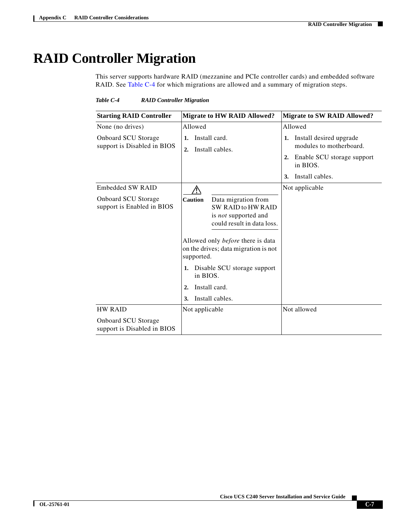# <span id="page-6-1"></span><span id="page-6-0"></span>**RAID Controller Migration**

This server supports hardware RAID (mezzanine and PCIe controller cards) and embedded software RAID. See [Table C-4](#page-6-1) for which migrations are allowed and a summary of migration steps.

*Table C-4 RAID Controller Migration*

| <b>Starting RAID Controller</b>                           | <b>Migrate to HW RAID Allowed?</b>                                                                                                                                                                                                                                                                                       | <b>Migrate to SW RAID Allowed?</b>                       |
|-----------------------------------------------------------|--------------------------------------------------------------------------------------------------------------------------------------------------------------------------------------------------------------------------------------------------------------------------------------------------------------------------|----------------------------------------------------------|
| None (no drives)                                          | Allowed                                                                                                                                                                                                                                                                                                                  | Allowed                                                  |
| <b>Onboard SCU Storage</b><br>support is Disabled in BIOS | Install card.<br>1.<br>Install cables.<br>2.                                                                                                                                                                                                                                                                             | Install desired upgrade<br>1.<br>modules to motherboard. |
|                                                           |                                                                                                                                                                                                                                                                                                                          | Enable SCU storage support<br>2.<br>in BIOS.             |
|                                                           |                                                                                                                                                                                                                                                                                                                          | Install cables.<br>3.                                    |
| <b>Embedded SW RAID</b>                                   |                                                                                                                                                                                                                                                                                                                          | Not applicable                                           |
| <b>Onboard SCU Storage</b><br>support is Enabled in BIOS  | Data migration from<br><b>Caution</b><br>SW RAID to HW RAID<br>is <i>not</i> supported and<br>could result in data loss.<br>Allowed only <i>before</i> there is data<br>on the drives; data migration is not<br>supported.<br>1. Disable SCU storage support<br>in BIOS.<br>Install card.<br>2.<br>Install cables.<br>3. |                                                          |
| <b>HW RAID</b>                                            | Not applicable                                                                                                                                                                                                                                                                                                           | Not allowed                                              |
| <b>Onboard SCU Storage</b><br>support is Disabled in BIOS |                                                                                                                                                                                                                                                                                                                          |                                                          |

**Cisco UCS C240 Server Installation and Service Guide**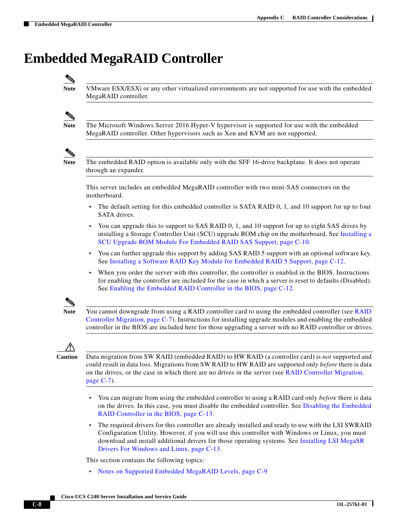# <span id="page-7-0"></span>**Embedded MegaRAID Controller**

**Note** VMware ESX/ESXi or any other virtualized environments are not supported for use with the embedded MegaRAID controller.

**Note** The Microsoft Windows Server 2016 Hyper-V hypervisor is supported for use with the embedded MegaRAID controller. Other hypervisors such as Xen and KVM are not supported.



**Note** The embedded RAID option is available only with the SFF 16-drive backplane. It does not operate through an expander.

This server includes an embedded MegaRAID controller with two mini-SAS connectors on the motherboard.

- The default setting for this embedded controller is SATA RAID 0, 1, and 10 support for up to four SATA drives.
- **•** You can upgrade this to support to SAS RAID 0, 1, and 10 support for up to eight SAS drives by installing a Storage Controller Unit (SCU) upgrade ROM chip on the motherboard. See [Installing a](#page-9-0)  [SCU Upgrade ROM Module For Embedded RAID SAS Support, page C-10.](#page-9-0)
- **•** You can further upgrade this support by adding SAS RAID 5 support with an optional software key. See [Installing a Software RAID Key Module for Embedded RAID 5 Support, page C-12](#page-11-0).
- **•** When you order the server with this controller, the controller is enabled in the BIOS. Instructions for enabling the controller are included for the case in which a server is reset to defaults (Disabled). See [Enabling the Embedded RAID Controller in the BIOS, page C-12.](#page-11-1)



**Note** You cannot downgrade from using a RAID controller card to using the embedded controller (see [RAID](#page-6-0)  [Controller Migration, page C-7](#page-6-0)). Instructions for installing upgrade modules and enabling the embedded controller in the BIOS are included here for those upgrading a server with no RAID controller or drives.



**Caution** Data migration from SW RAID (embedded RAID) to HW RAID (a controller card) is *not* supported and could result in data loss. Migrations from SW RAID to HW RAID are supported only *before* there is data on the drives, or the case in which there are no drives in the server (see [RAID Controller Migration,](#page-6-0)  [page C-7\)](#page-6-0).

- **•** You can migrate from using the embedded controller to using a RAID card only *before* there is data on the drives. In this case, you must disable the embedded controller. See [Disabling the Embedded](#page-12-0)  [RAID Controller in the BIOS, page C-13.](#page-12-0)
- **•** The required drivers for this controller are already installed and ready to use with the LSI SWRAID Configuration Utility. However, if you will use this controller with Windows or Linux, you must download and install additional drivers for those operating systems. See [Installing LSI MegaSR](#page-12-1)  [Drivers For Windows and Linux, page C-13](#page-12-1).

This section contains the following topics:

**•** [Notes on Supported Embedded MegaRAID Levels, page C-9](#page-8-0)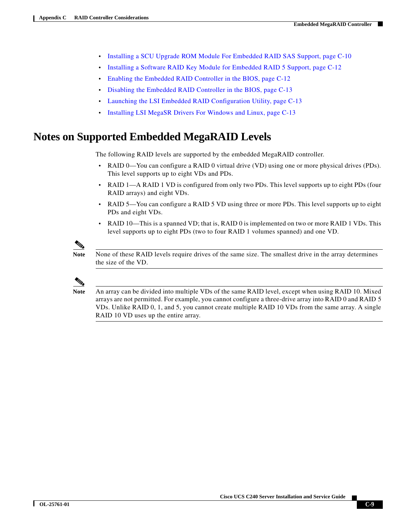- **•** [Installing a SCU Upgrade ROM Module For Embedded RAID SAS Support, page C-10](#page-9-0)
- **•** [Installing a Software RAID Key Module for Embedded RAID 5 Support, page C-12](#page-11-0)
- **•** [Enabling the Embedded RAID Controller in the BIOS, page C-12](#page-11-1)
- **•** [Disabling the Embedded RAID Controller in the BIOS, page C-13](#page-12-0)
- **•** [Launching the LSI Embedded RAID Configuration Utility, page C-13](#page-12-2)
- **•** [Installing LSI MegaSR Drivers For Windows and Linux, page C-13](#page-12-1)

### <span id="page-8-0"></span>**Notes on Supported Embedded MegaRAID Levels**

The following RAID levels are supported by the embedded MegaRAID controller.

- **•** RAID 0—You can configure a RAID 0 virtual drive (VD) using one or more physical drives (PDs). This level supports up to eight VDs and PDs.
- RAID 1—A RAID 1 VD is configured from only two PDs. This level supports up to eight PDs (four RAID arrays) and eight VDs.
- **•** RAID 5—You can configure a RAID 5 VD using three or more PDs. This level supports up to eight PDs and eight VDs.
- **•** RAID 10—This is a spanned VD; that is, RAID 0 is implemented on two or more RAID 1 VDs. This level supports up to eight PDs (two to four RAID 1 volumes spanned) and one VD.



**Note** None of these RAID levels require drives of the same size. The smallest drive in the array determines the size of the VD.



**Note** An array can be divided into multiple VDs of the same RAID level, except when using RAID 10. Mixed arrays are not permitted. For example, you cannot configure a three-drive array into RAID 0 and RAID 5 VDs. Unlike RAID 0, 1, and 5, you cannot create multiple RAID 10 VDs from the same array. A single RAID 10 VD uses up the entire array.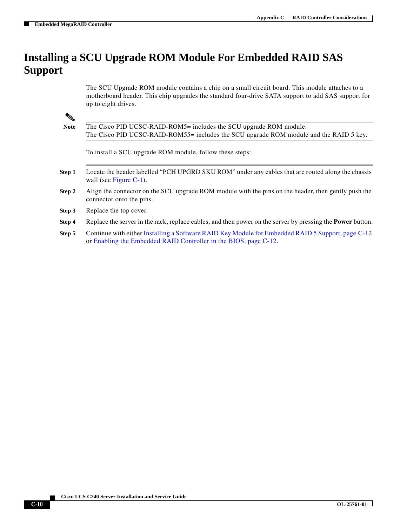### <span id="page-9-0"></span>**Installing a SCU Upgrade ROM Module For Embedded RAID SAS Support**

The SCU Upgrade ROM module contains a chip on a small circuit board. This module attaches to a motherboard header. This chip upgrades the standard four-drive SATA support to add SAS support for up to eight drives.

**Note** The Cisco PID UCSC-RAID-ROM5= includes the SCU upgrade ROM module. The Cisco PID UCSC-RAID-ROM55= includes the SCU upgrade ROM module and the RAID 5 key.

To install a SCU upgrade ROM module, follow these steps:

- **Step 1** Locate the header labelled "PCH UPGRD SKU ROM" under any cables that are routed along the chassis wall (see [Figure C-1](#page-10-0)).
- **Step 2** Align the connector on the SCU upgrade ROM module with the pins on the header, then gently push the connector onto the pins.
- **Step 3** Replace the top cover.
- **Step 4** Replace the server in the rack, replace cables, and then power on the server by pressing the **Power** button.
- **Step 5** Continue with either [Installing a Software RAID Key Module for Embedded RAID 5 Support, page C-12](#page-11-0) or [Enabling the Embedded RAID Controller in the BIOS, page C-12](#page-11-1).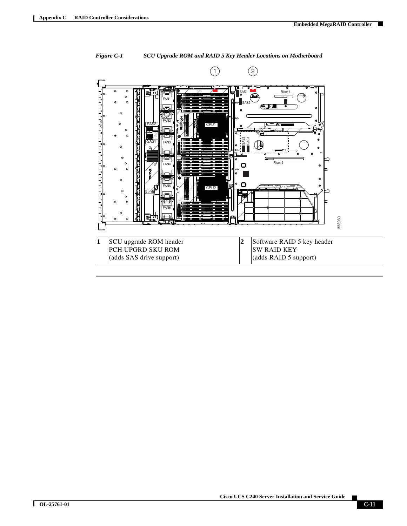

<span id="page-10-0"></span>*Figure C-1 SCU Upgrade ROM and RAID 5 Key Header Locations on Motherboard*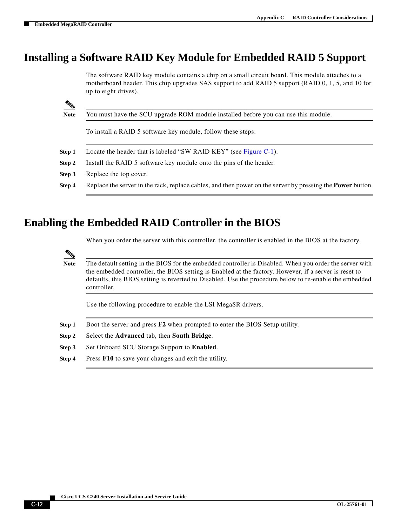### <span id="page-11-0"></span>**Installing a Software RAID Key Module for Embedded RAID 5 Support**

The software RAID key module contains a chip on a small circuit board. This module attaches to a motherboard header. This chip upgrades SAS support to add RAID 5 support (RAID 0, 1, 5, and 10 for up to eight drives).

**Note** You must have the SCU upgrade ROM module installed before you can use this module.

To install a RAID 5 software key module, follow these steps:

- **Step 1** Locate the header that is labeled "SW RAID KEY" (see [Figure C-1](#page-10-0)).
- **Step 2** Install the RAID 5 software key module onto the pins of the header.
- **Step 3** Replace the top cover.
- **Step 4** Replace the server in the rack, replace cables, and then power on the server by pressing the **Power** button.

### <span id="page-11-1"></span>**Enabling the Embedded RAID Controller in the BIOS**

When you order the server with this controller, the controller is enabled in the BIOS at the factory.

**Note** The default setting in the BIOS for the embedded controller is Disabled. When you order the server with the embedded controller, the BIOS setting is Enabled at the factory. However, if a server is reset to defaults, this BIOS setting is reverted to Disabled. Use the procedure below to re-enable the embedded controller.

Use the following procedure to enable the LSI MegaSR drivers.

- **Step 1** Boot the server and press **F2** when prompted to enter the BIOS Setup utility.
- **Step 2** Select the **Advanced** tab, then **South Bridge**.
- **Step 3** Set Onboard SCU Storage Support to **Enabled**.
- **Step 4** Press **F10** to save your changes and exit the utility.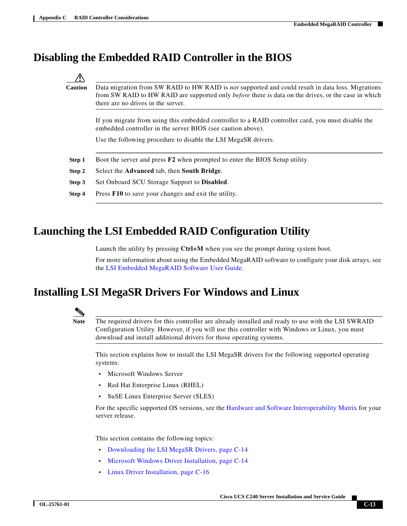### <span id="page-12-0"></span>**Disabling the Embedded RAID Controller in the BIOS**

**Caution** Data migration from SW RAID to HW RAID is *not* supported and could result in data loss. Migrations from SW RAID to HW RAID are supported only *before* there is data on the drives, or the case in which there are no drives in the server.

If you migrate from using this embedded controller to a RAID controller card, you must disable the embedded controller in the server BIOS (see caution above).

Use the following procedure to disable the LSI MegaSR drivers.

- **Step 1** Boot the server and press **F2** when prompted to enter the BIOS Setup utility.
- **Step 2** Select the **Advanced** tab, then **South Bridge**.
- **Step 3** Set Onboard SCU Storage Support to **Disabled**.
- **Step 4** Press **F10** to save your changes and exit the utility.

### <span id="page-12-2"></span>**Launching the LSI Embedded RAID Configuration Utility**

Launch the utility by pressing **Ctrl+M** when you see the prompt during system boot.

For more information about using the Embedded MegaRAID software to configure your disk arrays, see the [LSI Embedded MegaRAID Software User Guide](http://www.cisco.com/en/US/docs/unified_computing/ucs/3rd-party/lsi/erswug/guide/48712-00B_EmbMRAID_SWUG.pdf).

### <span id="page-12-1"></span>**Installing LSI MegaSR Drivers For Windows and Linux**



**Note** The required drivers for this controller are already installed and ready to use with the LSI SWRAID Configuration Utility. However, if you will use this controller with Windows or Linux, you must download and install additional drivers for those operating systems.

This section explains how to install the LSI MegaSR drivers for the following supported operating systems:

- **•** Microsoft Windows Server
- **•** Red Hat Enterprise Linux (RHEL)
- **•** SuSE Linux Enterprise Server (SLES)

For the specific supported OS versions, see the [Hardware and Software Interoperability Matrix](http://www.cisco.com/en/US/products/ps10477/prod_technical_reference_list.html) for your server release.

This section contains the following topics:

- [Downloading the LSI MegaSR Drivers, page C-14](#page-13-0)
- **•** [Microsoft Windows Driver Installation, page C-14](#page-13-1)
- **•** [Linux Driver Installation, page C-16](#page-15-0)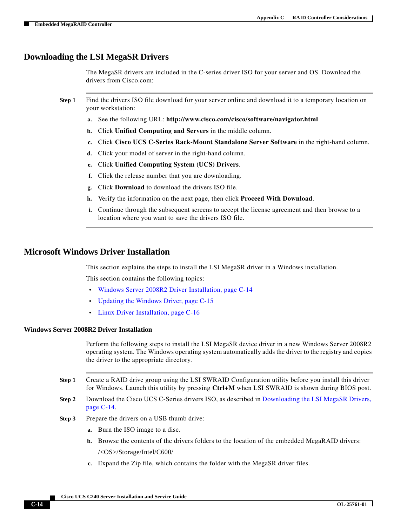#### <span id="page-13-0"></span>**Downloading the LSI MegaSR Drivers**

The MegaSR drivers are included in the C-series driver ISO for your server and OS. Download the drivers from Cisco.com:

- **Step 1** Find the drivers ISO file download for your server online and download it to a temporary location on your workstation:
	- **a.** See the following URL: **<http://www.cisco.com/cisco/software/navigator.html>**
	- **b.** Click **Unified Computing and Servers** in the middle column.
	- **c.** Click **Cisco UCS C-Series Rack-Mount Standalone Server Software** in the right-hand column.
	- **d.** Click your model of server in the right-hand column.
	- **e.** Click **Unified Computing System (UCS) Drivers**.
	- **f.** Click the release number that you are downloading.
	- **g.** Click **Download** to download the drivers ISO file.
	- **h.** Verify the information on the next page, then click **Proceed With Download**.
	- **i.** Continue through the subsequent screens to accept the license agreement and then browse to a location where you want to save the drivers ISO file.

#### <span id="page-13-1"></span>**Microsoft Windows Driver Installation**

This section explains the steps to install the LSI MegaSR driver in a Windows installation.

This section contains the following topics:

- **•** [Windows Server 2008R2 Driver Installation, page C-14](#page-13-2)
- **•** [Updating the Windows Driver, page C-15](#page-14-0)
- **•** [Linux Driver Installation, page C-16](#page-15-0)

#### <span id="page-13-2"></span>**Windows Server 2008R2 Driver Installation**

Perform the following steps to install the LSI MegaSR device driver in a new Windows Server 2008R2 operating system. The Windows operating system automatically adds the driver to the registry and copies the driver to the appropriate directory.

- **Step 1** Create a RAID drive group using the LSI SWRAID Configuration utility before you install this driver for Windows. Launch this utility by pressing **Ctrl+M** when LSI SWRAID is shown during BIOS post.
- **Step 2** Download the Cisco UCS C-Series drivers ISO, as described in Downloading the LSI MegaSR Drivers, [page C-14.](#page-13-0)
- <span id="page-13-3"></span>**Step 3** Prepare the drivers on a USB thumb drive:
	- **a.** Burn the ISO image to a disc.
	- **b.** Browse the contents of the drivers folders to the location of the embedded MegaRAID drivers: /<OS>/Storage/Intel/C600/
	- **c.** Expand the Zip file, which contains the folder with the MegaSR driver files.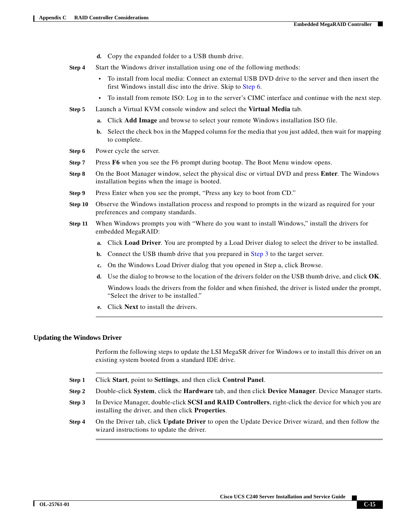- **d.** Copy the expanded folder to a USB thumb drive.
- **Step 4** Start the Windows driver installation using one of the following methods:
	- **•** To install from local media: Connect an external USB DVD drive to the server and then insert the first Windows install disc into the drive. Skip to [Step 6.](#page-14-1)
	- **•** To install from remote ISO: Log in to the server's CIMC interface and continue with the next step.
- **Step 5** Launch a Virtual KVM console window and select the **Virtual Media** tab.
	- **a.** Click **Add Image** and browse to select your remote Windows installation ISO file.
	- **b.** Select the check box in the Mapped column for the media that you just added, then wait for mapping to complete.
- <span id="page-14-1"></span>**Step 6** Power cycle the server.
- **Step 7** Press **F6** when you see the F6 prompt during bootup. The Boot Menu window opens.
- **Step 8** On the Boot Manager window, select the physical disc or virtual DVD and press **Enter**. The Windows installation begins when the image is booted.
- **Step 9** Press Enter when you see the prompt, "Press any key to boot from CD."
- **Step 10** Observe the Windows installation process and respond to prompts in the wizard as required for your preferences and company standards.
- **Step 11** When Windows prompts you with "Where do you want to install Windows," install the drivers for embedded MegaRAID:
	- **a.** Click **Load Driver**. You are prompted by a Load Driver dialog to select the driver to be installed.
	- **b.** Connect the USB thumb drive that you prepared in [Step 3](#page-13-3) to the target server.
	- **c.** On the Windows Load Driver dialog that you opened in Step a, click Browse.
	- **d.** Use the dialog to browse to the location of the drivers folder on the USB thumb drive, and click **OK**. Windows loads the drivers from the folder and when finished, the driver is listed under the prompt, "Select the driver to be installed."
	- **e.** Click **Next** to install the drivers.

#### <span id="page-14-0"></span>**Updating the Windows Driver**

Perform the following steps to update the LSI MegaSR driver for Windows or to install this driver on an existing system booted from a standard IDE drive.

- **Step 1** Click **Start**, point to **Settings**, and then click **Control Panel**.
- **Step 2** Double-click **System**, click the **Hardware** tab, and then click **Device Manager**. Device Manager starts.
- **Step 3** In Device Manager, double-click **SCSI and RAID Controllers**, right-click the device for which you are installing the driver, and then click **Properties**.
- **Step 4** On the Driver tab, click **Update Driver** to open the Update Device Driver wizard, and then follow the wizard instructions to update the driver.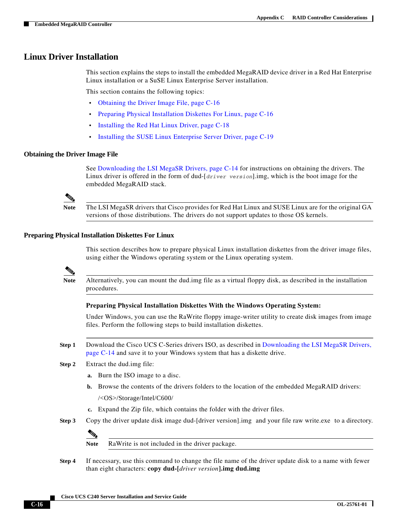#### <span id="page-15-0"></span>**Linux Driver Installation**

This section explains the steps to install the embedded MegaRAID device driver in a Red Hat Enterprise Linux installation or a SuSE Linux Enterprise Server installation.

This section contains the following topics:

- **•** [Obtaining the Driver Image File, page C-16](#page-15-1)
- **•** [Preparing Physical Installation Diskettes For Linux, page C-16](#page-15-2)
- **•** [Installing the Red Hat Linux Driver, page C-18](#page-17-0)
- **•** [Installing the SUSE Linux Enterprise Server Driver, page C-19](#page-18-0)

#### <span id="page-15-1"></span>**Obtaining the Driver Image File**

See [Downloading the LSI MegaSR Drivers, page C-14](#page-13-0) for instructions on obtaining the drivers. The Linux driver is offered in the form of dud-[*driver version*].img, which is the boot image for the embedded MegaRAID stack.

**Note** The LSI MegaSR drivers that Cisco provides for Red Hat Linux and SUSE Linux are for the original GA versions of those distributions. The drivers do not support updates to those OS kernels.

#### <span id="page-15-2"></span>**Preparing Physical Installation Diskettes For Linux**

This section describes how to prepare physical Linux installation diskettes from the driver image files, using either the Windows operating system or the Linux operating system.

**Note** Alternatively, you can mount the dud.img file as a virtual floppy disk, as described in the installation procedures.

#### **Preparing Physical Installation Diskettes With the Windows Operating System:**

Under Windows, you can use the RaWrite floppy image-writer utility to create disk images from image files. Perform the following steps to build installation diskettes.

- **Step 1** Download the Cisco UCS C-Series drivers ISO, as described in [Downloading the LSI MegaSR Drivers,](#page-13-0)  [page C-14](#page-13-0) and save it to your Windows system that has a diskette drive.
- **Step 2** Extract the dud.img file:
	- **a.** Burn the ISO image to a disc.
	- **b.** Browse the contents of the drivers folders to the location of the embedded MegaRAID drivers: /<OS>/Storage/Intel/C600/
	- **c.** Expand the Zip file, which contains the folder with the driver files.
- **Step 3** Copy the driver update disk image dud-[driver version].img and your file raw write.exe to a directory.



**Note** RaWrite is not included in the driver package.

**Step 4** If necessary, use this command to change the file name of the driver update disk to a name with fewer than eight characters: **copy dud-[***driver version***].img dud.img**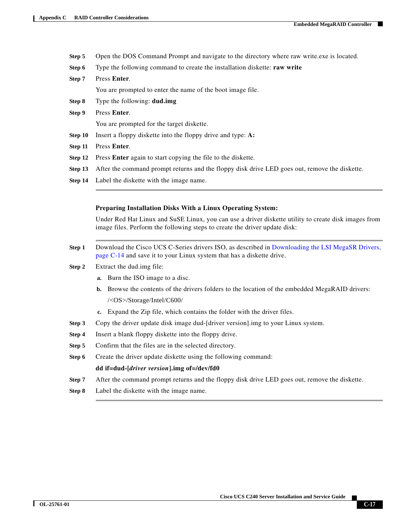- **Step 5** Open the DOS Command Prompt and navigate to the directory where raw write.exe is located.
- **Step 6** Type the following command to create the installation diskette: **raw write**
- **Step 7** Press **Enter**. You are prompted to enter the name of the boot image file.
- **Step 8** Type the following: **dud.img**
- **Step 9** Press **Enter**. You are prompted for the target diskette.
- **Step 10** Insert a floppy diskette into the floppy drive and type: **A:**
- **Step 11** Press **Enter**.
- **Step 12** Press **Enter** again to start copying the file to the diskette.
- **Step 13** After the command prompt returns and the floppy disk drive LED goes out, remove the diskette.
- **Step 14** Label the diskette with the image name.

#### **Preparing Installation Disks With a Linux Operating System:**

Under Red Hat Linux and SuSE Linux, you can use a driver diskette utility to create disk images from image files. Perform the following steps to create the driver update disk:

- **Step 1** Download the Cisco UCS C-Series drivers ISO, as described in [Downloading the LSI MegaSR Drivers,](#page-13-0)  [page C-14](#page-13-0) and save it to your Linux system that has a diskette drive.
- <span id="page-16-0"></span>**Step 2** Extract the dud.img file:
	- **a.** Burn the ISO image to a disc.
	- **b.** Browse the contents of the drivers folders to the location of the embedded MegaRAID drivers: /<OS>/Storage/Intel/C600/
	- **c.** Expand the Zip file, which contains the folder with the driver files.
- **Step 3** Copy the driver update disk image dud-[driver version].img to your Linux system.
- **Step 4** Insert a blank floppy diskette into the floppy drive.
- **Step 5** Confirm that the files are in the selected directory.
- **Step 6** Create the driver update diskette using the following command:

#### **dd if=dud-[***driver version***].img of=/dev/fd0**

- **Step 7** After the command prompt returns and the floppy disk drive LED goes out, remove the diskette.
- **Step 8** Label the diskette with the image name.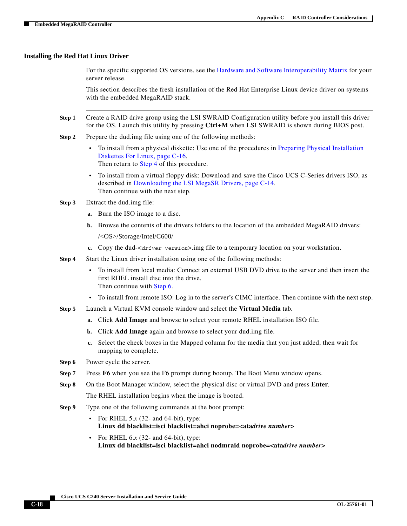#### <span id="page-17-0"></span>**Installing the Red Hat Linux Driver**

For the specific supported OS versions, see the [Hardware and Software Interoperability Matrix](http://www.cisco.com/en/US/products/ps10477/prod_technical_reference_list.html) for your server release.

This section describes the fresh installation of the Red Hat Enterprise Linux device driver on systems with the embedded MegaRAID stack.

- **Step 1** Create a RAID drive group using the LSI SWRAID Configuration utility before you install this driver for the OS. Launch this utility by pressing **Ctrl+M** when LSI SWRAID is shown during BIOS post.
- <span id="page-17-4"></span>**Step 2** Prepare the dud.img file using one of the following methods:
	- **•** To install from a physical diskette: Use one of the procedures in [Preparing Physical Installation](#page-15-2)  [Diskettes For Linux, page C-16.](#page-15-2) Then return to [Step 4](#page-17-1) of this procedure.
	- **•** To install from a virtual floppy disk: Download and save the Cisco UCS C-Series drivers ISO, as described in [Downloading the LSI MegaSR Drivers, page C-14](#page-13-0). Then continue with the next step.
- **Step 3** Extract the dud.img file:
	- **a.** Burn the ISO image to a disc.
	- **b.** Browse the contents of the drivers folders to the location of the embedded MegaRAID drivers: /<OS>/Storage/Intel/C600/
	- **c.** Copy the dud-<*driver version*>.img file to a temporary location on your workstation.
- <span id="page-17-1"></span>**Step 4** Start the Linux driver installation using one of the following methods:
	- **•** To install from local media: Connect an external USB DVD drive to the server and then insert the first RHEL install disc into the drive. Then continue with [Step 6](#page-17-2).
	- **•** To install from remote ISO: Log in to the server's CIMC interface. Then continue with the next step.
- <span id="page-17-3"></span>**Step 5** Launch a Virtual KVM console window and select the **Virtual Media** tab.
	- **a.** Click **Add Image** and browse to select your remote RHEL installation ISO file.
	- **b.** Click **Add Image** again and browse to select your dud.img file.
	- **c.** Select the check boxes in the Mapped column for the media that you just added, then wait for mapping to complete.
- <span id="page-17-2"></span>**Step 6** Power cycle the server.
- **Step 7** Press **F6** when you see the F6 prompt during bootup. The Boot Menu window opens.
- **Step 8** On the Boot Manager window, select the physical disc or virtual DVD and press **Enter**.

The RHEL installation begins when the image is booted.

- **Step 9** Type one of the following commands at the boot prompt:
	- **•** For RHEL 5.*x* (32- and 64-bit), type: **Linux dd blacklist=isci blacklist=ahci noprobe=<ata***drive number***>**
	- **•** For RHEL 6.*x* (32- and 64-bit), type: **Linux dd blacklist=isci blacklist=ahci nodmraid noprobe=<ata***drive number***>**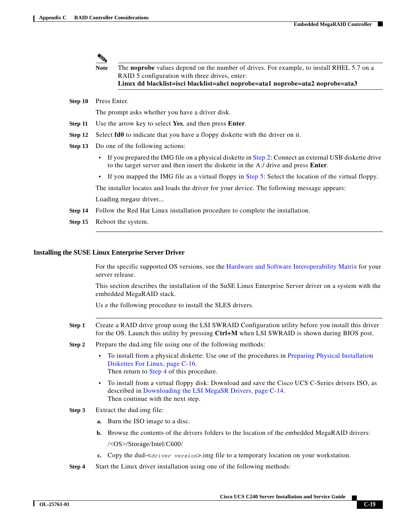### **Note** The **noprobe** values depend on the number of drives. For example, to install RHEL 5.7 on a RAID 5 configuration with three drives, enter: **Linux dd blacklist=isci blacklist=ahci noprobe=ata1 noprobe=ata2 noprobe=ata3**

**Step 10** Press Enter.

The prompt asks whether you have a driver disk.

- **Step 11** Use the arrow key to select **Yes**, and then press **Enter**.
- **Step 12** Select **fd0** to indicate that you have a floppy diskette with the driver on it.
- **Step 13** Do one of the following actions:
	- If you prepared the IMG file on a physical diskette in [Step 2](#page-16-0): Connect an external USB diskette drive to the target server and then insert the diskette in the A:/ drive and press **Enter**.
	- If you mapped the IMG file as a virtual floppy in [Step 5:](#page-17-3) Select the location of the virtual floppy.

The installer locates and loads the driver for your device. The following message appears: Loading megasr driver...

- **Step 14** Follow the Red Hat Linux installation procedure to complete the installation.
- **Step 15** Reboot the system.

#### <span id="page-18-0"></span>**Installing the SUSE Linux Enterprise Server Driver**

For the specific supported OS versions, see the [Hardware and Software Interoperability Matrix](http://www.cisco.com/en/US/products/ps10477/prod_technical_reference_list.html) for your server release.

This section describes the installation of the SuSE Linux Enterprise Server driver on a system with the embedded MegaRAID stack.

Us e the following procedure to install the SLES drivers.

- **Step 1** Create a RAID drive group using the LSI SWRAID Configuration utility before you install this driver for the OS. Launch this utility by pressing **Ctrl+M** when LSI SWRAID is shown during BIOS post.
- **Step 2** Prepare the dud.img file using one of the following methods:
	- **•** To install from a physical diskette: Use one of the procedures in [Preparing Physical Installation](#page-15-2)  [Diskettes For Linux, page C-16](#page-15-2). Then return to [Step 4](#page-17-1) of this procedure.
	- **•** To install from a virtual floppy disk: Download and save the Cisco UCS C-Series drivers ISO, as described in [Downloading the LSI MegaSR Drivers, page C-14.](#page-13-0) Then continue with the next step.

#### **Step 3** Extract the dud.img file:

- **a.** Burn the ISO image to a disc.
- **b.** Browse the contents of the drivers folders to the location of the embedded MegaRAID drivers: /<OS>/Storage/Intel/C600/
- **c.** Copy the dud-<*driver version*>.img file to a temporary location on your workstation.
- **Step 4** Start the Linux driver installation using one of the following methods:

Г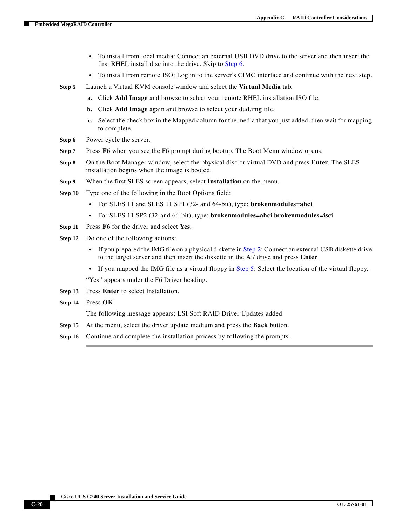- **•** To install from local media: Connect an external USB DVD drive to the server and then insert the first RHEL install disc into the drive. Skip to [Step 6](#page-19-0).
- **•** To install from remote ISO: Log in to the server's CIMC interface and continue with the next step.
- <span id="page-19-1"></span>**Step 5** Launch a Virtual KVM console window and select the **Virtual Media** tab.
	- **a.** Click **Add Image** and browse to select your remote RHEL installation ISO file.
	- **b.** Click **Add Image** again and browse to select your dud.img file.
	- **c.** Select the check box in the Mapped column for the media that you just added, then wait for mapping to complete.
- <span id="page-19-0"></span>**Step 6** Power cycle the server.
- **Step 7** Press **F6** when you see the F6 prompt during bootup. The Boot Menu window opens.
- **Step 8** On the Boot Manager window, select the physical disc or virtual DVD and press **Enter**. The SLES installation begins when the image is booted.
- **Step 9** When the first SLES screen appears, select **Installation** on the menu.
- **Step 10** Type one of the following in the Boot Options field:
	- **•** For SLES 11 and SLES 11 SP1 (32- and 64-bit), type: **brokenmodules=ahci**
	- **•** For SLES 11 SP2 (32-and 64-bit), type: **brokenmodules=ahci brokenmodules=isci**
- **Step 11** Press **F6** for the driver and select **Yes**.
- **Step 12** Do one of the following actions:
	- If you prepared the IMG file on a physical diskette in [Step 2:](#page-17-4) Connect an external USB diskette drive to the target server and then insert the diskette in the A:/ drive and press **Enter**.
	- **•** If you mapped the IMG file as a virtual floppy in [Step 5](#page-19-1): Select the location of the virtual floppy.

"Yes" appears under the F6 Driver heading.

- **Step 13** Press **Enter** to select Installation.
- **Step 14** Press **OK**.

The following message appears: LSI Soft RAID Driver Updates added.

- **Step 15** At the menu, select the driver update medium and press the **Back** button.
- **Step 16** Continue and complete the installation process by following the prompts.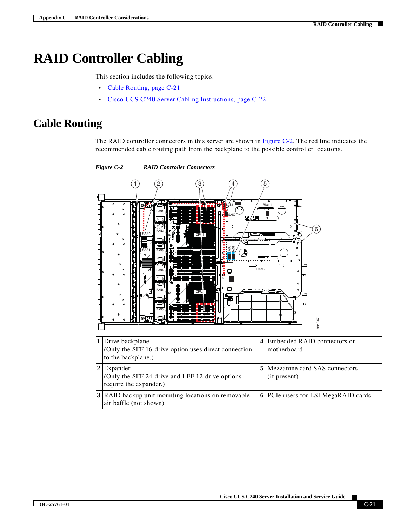# <span id="page-20-0"></span>**RAID Controller Cabling**

This section includes the following topics:

- **•** [Cable Routing, page C-21](#page-20-1)
- **•** [Cisco UCS C240 Server Cabling Instructions, page C-22](#page-21-0)

### <span id="page-20-1"></span>**Cable Routing**

The RAID controller connectors in this server are shown in [Figure C-2.](#page-20-2) The red line indicates the recommended cable routing path from the backplane to the possible controller locations.

SAS2 SAS1 FAN1 FAN2 FAN3 FAN4 FAN5 FAN6 CPU1 CPU !  $S/I.S1$ SAS2 Riser 1 Riser 2 SAS2 SAS1 1 (2) (3) (4) (5  $6^{\degree}$ 331847 3 **1** Drive backplane (Only the SFF 16-drive option uses direct connection to the backplane.) **4** Embedded RAID connectors on motherboard **2** Expander (Only the SFF 24-drive and LFF 12-drive options require the expander.) **5** Mezzanine card SAS connectors (if present) **3** RAID backup unit mounting locations on removable air baffle (not shown) **6** PCIe risers for LSI MegaRAID cards

#### <span id="page-20-2"></span>*Figure C-2 RAID Controller Connectors*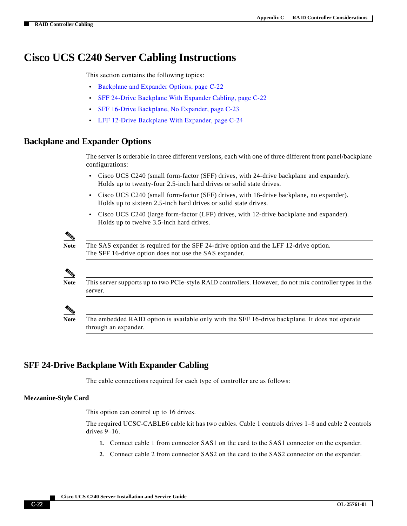### <span id="page-21-0"></span>**Cisco UCS C240 Server Cabling Instructions**

This section contains the following topics:

- **•** [Backplane and Expander Options, page C-22](#page-21-1)
- **•** [SFF 24-Drive Backplane With Expander Cabling, page C-22](#page-21-2)
- **•** [SFF 16-Drive Backplane, No Expander, page C-23](#page-22-0)
- **•** [LFF 12-Drive Backplane With Expander, page C-24](#page-23-0)

#### <span id="page-21-1"></span>**Backplane and Expander Options**

The server is orderable in three different versions, each with one of three different front panel/backplane configurations:

- **•** Cisco UCS C240 (small form-factor (SFF) drives, with 24-drive backplane and expander). Holds up to twenty-four 2.5-inch hard drives or solid state drives.
- **•** Cisco UCS C240 (small form-factor (SFF) drives, with 16-drive backplane, no expander). Holds up to sixteen 2.5-inch hard drives or solid state drives.
- **•** Cisco UCS C240 (large form-factor (LFF) drives, with 12-drive backplane and expander). Holds up to twelve 3.5-inch hard drives.

**Note** The SAS expander is required for the SFF 24-drive option and the LFF 12-drive option. The SFF 16-drive option does not use the SAS expander.



**Note** This server supports up to two PCIe-style RAID controllers. However, do not mix controller types in the server.



**Note** The embedded RAID option is available only with the SFF 16-drive backplane. It does not operate through an expander.

#### <span id="page-21-2"></span>**SFF 24-Drive Backplane With Expander Cabling**

The cable connections required for each type of controller are as follows:

#### **Mezzanine-Style Card**

This option can control up to 16 drives.

The required UCSC-CABLE6 cable kit has two cables. Cable 1 controls drives 1–8 and cable 2 controls drives 9–16.

- **1.** Connect cable 1 from connector SAS1 on the card to the SAS1 connector on the expander.
- **2.** Connect cable 2 from connector SAS2 on the card to the SAS2 connector on the expander.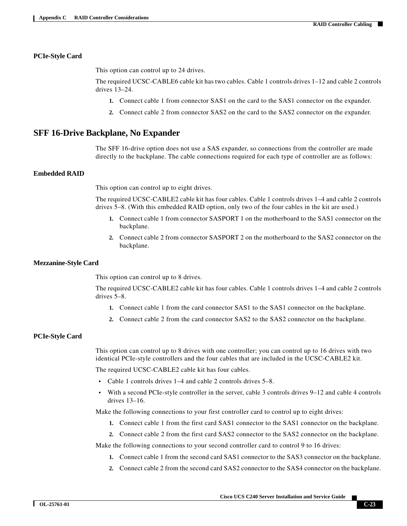#### **PCIe-Style Card**

This option can control up to 24 drives.

The required UCSC-CABLE6 cable kit has two cables. Cable 1 controls drives 1–12 and cable 2 controls drives 13–24.

- **1.** Connect cable 1 from connector SAS1 on the card to the SAS1 connector on the expander.
- **2.** Connect cable 2 from connector SAS2 on the card to the SAS2 connector on the expander.

#### <span id="page-22-0"></span>**SFF 16-Drive Backplane, No Expander**

The SFF 16-drive option does not use a SAS expander, so connections from the controller are made directly to the backplane. The cable connections required for each type of controller are as follows:

#### **Embedded RAID**

This option can control up to eight drives.

The required UCSC-CABLE2 cable kit has four cables. Cable 1 controls drives 1–4 and cable 2 controls drives 5–8. (With this embedded RAID option, only two of the four cables in the kit are used.)

- **1.** Connect cable 1 from connector SASPORT 1 on the motherboard to the SAS1 connector on the backplane.
- **2.** Connect cable 2 from connector SASPORT 2 on the motherboard to the SAS2 connector on the backplane.

#### **Mezzanine-Style Card**

This option can control up to 8 drives.

The required UCSC-CABLE2 cable kit has four cables. Cable 1 controls drives 1–4 and cable 2 controls drives 5–8.

- **1.** Connect cable 1 from the card connector SAS1 to the SAS1 connector on the backplane.
- **2.** Connect cable 2 from the card connector SAS2 to the SAS2 connector on the backplane.

#### **PCIe-Style Card**

This option can control up to 8 drives with one controller; you can control up to 16 drives with two identical PCIe-style controllers and the four cables that are included in the UCSC-CABLE2 kit.

The required UCSC-CABLE2 cable kit has four cables.

- **•** Cable 1 controls drives 1–4 and cable 2 controls drives 5–8.
- **•** With a second PCIe-style controller in the server, cable 3 controls drives 9–12 and cable 4 controls drives 13–16.

Make the following connections to your first controller card to control up to eight drives:

- **1.** Connect cable 1 from the first card SAS1 connector to the SAS1 connector on the backplane.
- **2.** Connect cable 2 from the first card SAS2 connector to the SAS2 connector on the backplane.

Make the following connections to your second controller card to control 9 to 16 drives:

- **1.** Connect cable 1 from the second card SAS1 connector to the SAS3 connector on the backplane.
- **2.** Connect cable 2 from the second card SAS2 connector to the SAS4 connector on the backplane.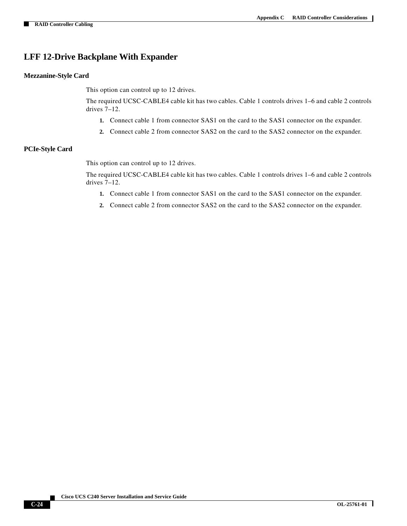### <span id="page-23-0"></span>**LFF 12-Drive Backplane With Expander**

#### **Mezzanine-Style Card**

This option can control up to 12 drives.

The required UCSC-CABLE4 cable kit has two cables. Cable 1 controls drives 1–6 and cable 2 controls drives 7–12.

- **1.** Connect cable 1 from connector SAS1 on the card to the SAS1 connector on the expander.
- **2.** Connect cable 2 from connector SAS2 on the card to the SAS2 connector on the expander.

#### **PCIe-Style Card**

This option can control up to 12 drives.

The required UCSC-CABLE4 cable kit has two cables. Cable 1 controls drives 1–6 and cable 2 controls drives 7–12.

- **1.** Connect cable 1 from connector SAS1 on the card to the SAS1 connector on the expander.
- **2.** Connect cable 2 from connector SAS2 on the card to the SAS2 connector on the expander.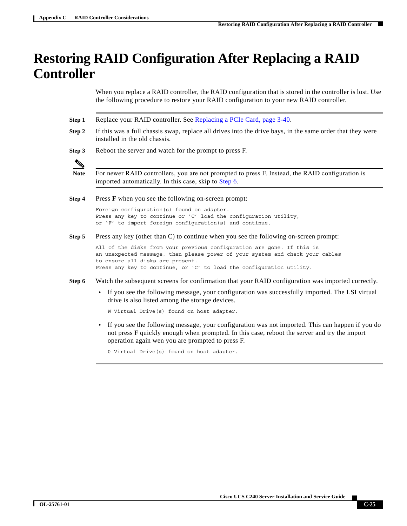# <span id="page-24-0"></span>**Restoring RAID Configuration After Replacing a RAID Controller**

When you replace a RAID controller, the RAID configuration that is stored in the controller is lost. Use the following procedure to restore your RAID configuration to your new RAID controller.

- **Step 1** Replace your RAID controller. See Replacing a PCIe Card, page 3-40.
- **Step 2** If this was a full chassis swap, replace all drives into the drive bays, in the same order that they were installed in the old chassis.
- **Step 3** Reboot the server and watch for the prompt to press F.

Note For newer RAID controllers, you are not prompted to press F. Instead, the RAID configuration is imported automatically. In this case, skip to [Step 6](#page-24-1).

**Step 4** Press **F** when you see the following on-screen prompt:

Foreign configuration(s) found on adapter. Press any key to continue or 'C' load the configuration utility, or 'F' to import foreign configuration(s) and continue.

**Step 5** Press any key (other than C) to continue when you see the following on-screen prompt:

All of the disks from your previous configuration are gone. If this is an unexpected message, then please power of your system and check your cables to ensure all disks are present. Press any key to continue, or 'C' to load the configuration utility.

- <span id="page-24-1"></span>**Step 6** Watch the subsequent screens for confirmation that your RAID configuration was imported correctly.
	- If you see the following message, your configuration was successfully imported. The LSI virtual drive is also listed among the storage devices.

*N* Virtual Drive(s) found on host adapter.

**•** If you see the following message, your configuration was not imported. This can happen if you do not press F quickly enough when prompted. In this case, reboot the server and try the import operation again wen you are prompted to press F.

0 Virtual Drive(s) found on host adapter.

Г